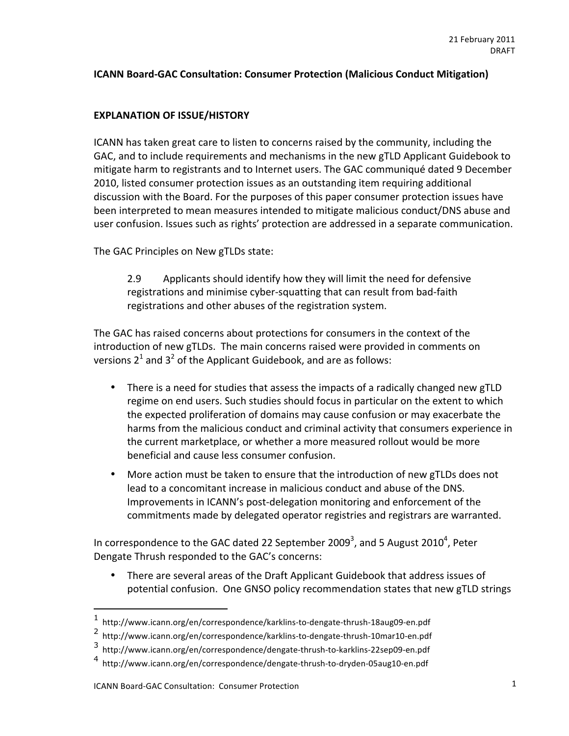# **ICANN Board-GAC Consultation: Consumer Protection (Malicious Conduct Mitigation)**

# **EXPLANATION OF ISSUE/HISTORY**

ICANN has taken great care to listen to concerns raised by the community, including the GAC, and to include requirements and mechanisms in the new gTLD Applicant Guidebook to mitigate harm to registrants and to Internet users. The GAC communiqué dated 9 December 2010, listed consumer protection issues as an outstanding item requiring additional discussion with the Board. For the purposes of this paper consumer protection issues have been interpreted to mean measures intended to mitigate malicious conduct/DNS abuse and user confusion. Issues such as rights' protection are addressed in a separate communication.

The GAC Principles on New gTLDs state:

2.9 Applicants should identify how they will limit the need for defensive registrations and minimise cyber-squatting that can result from bad-faith registrations and other abuses of the registration system.

The GAC has raised concerns about protections for consumers in the context of the introduction of new gTLDs. The main concerns raised were provided in comments on versions 2<sup>1</sup> and 3<sup>2</sup> of the Applicant Guidebook, and are as follows:

- There is a need for studies that assess the impacts of a radically changed new gTLD regime on end users. Such studies should focus in particular on the extent to which the expected proliferation of domains may cause confusion or may exacerbate the harms from the malicious conduct and criminal activity that consumers experience in the current marketplace, or whether a more measured rollout would be more beneficial and cause less consumer confusion.
- More action must be taken to ensure that the introduction of new gTLDs does not lead to a concomitant increase in malicious conduct and abuse of the DNS. Improvements in ICANN's post-delegation monitoring and enforcement of the commitments made by delegated operator registries and registrars are warranted.

In correspondence to the GAC dated 22 September 2009<sup>3</sup>, and 5 August 2010<sup>4</sup>, Peter Dengate Thrush responded to the GAC's concerns:

• There are several areas of the Draft Applicant Guidebook that address issues of potential confusion. One GNSO policy recommendation states that new gTLD strings

 $1$  http://www.icann.org/en/correspondence/karklins-to-dengate-thrush-18aug09-en.pdf

<sup>&</sup>lt;sup>2</sup> http://www.icann.org/en/correspondence/karklins-to-dengate-thrush-10mar10-en.pdf

<sup>3</sup> http://www.icann.org/en/correspondence/dengate-thrush-to-karklins-22sep09-en.pdf

http://www.icann.org/en/correspondence/dengate-thrush-to-dryden-05aug10-en.pdf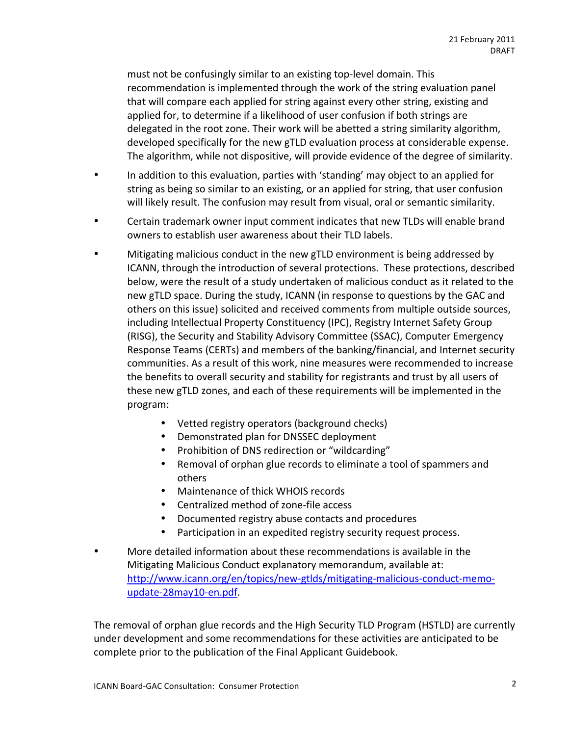must not be confusingly similar to an existing top-level domain. This recommendation is implemented through the work of the string evaluation panel that will compare each applied for string against every other string, existing and applied for, to determine if a likelihood of user confusion if both strings are delegated in the root zone. Their work will be abetted a string similarity algorithm, developed specifically for the new gTLD evaluation process at considerable expense. The algorithm, while not dispositive, will provide evidence of the degree of similarity.

- In addition to this evaluation, parties with 'standing' may object to an applied for string as being so similar to an existing, or an applied for string, that user confusion will likely result. The confusion may result from visual, oral or semantic similarity.
- Certain trademark owner input comment indicates that new TLDs will enable brand owners to establish user awareness about their TLD labels.
- Mitigating malicious conduct in the new gTLD environment is being addressed by ICANN, through the introduction of several protections. These protections, described below, were the result of a study undertaken of malicious conduct as it related to the new gTLD space. During the study, ICANN (in response to questions by the GAC and others on this issue) solicited and received comments from multiple outside sources, including Intellectual Property Constituency (IPC), Registry Internet Safety Group (RISG), the Security and Stability Advisory Committee (SSAC), Computer Emergency Response Teams (CERTs) and members of the banking/financial, and Internet security communities. As a result of this work, nine measures were recommended to increase the benefits to overall security and stability for registrants and trust by all users of these new gTLD zones, and each of these requirements will be implemented in the program:
	- Vetted registry operators (background checks)
	- Demonstrated plan for DNSSEC deployment
	- Prohibition of DNS redirection or "wildcarding"
	- Removal of orphan glue records to eliminate a tool of spammers and others
	- Maintenance of thick WHOIS records
	- Centralized method of zone-file access
	- Documented registry abuse contacts and procedures
	- Participation in an expedited registry security request process.
- More detailed information about these recommendations is available in the Mitigating Malicious Conduct explanatory memorandum, available at: http://www.icann.org/en/topics/new-gtlds/mitigating-malicious-conduct-memoupdate-28may10-en.pdf.

The removal of orphan glue records and the High Security TLD Program (HSTLD) are currently under development and some recommendations for these activities are anticipated to be complete prior to the publication of the Final Applicant Guidebook.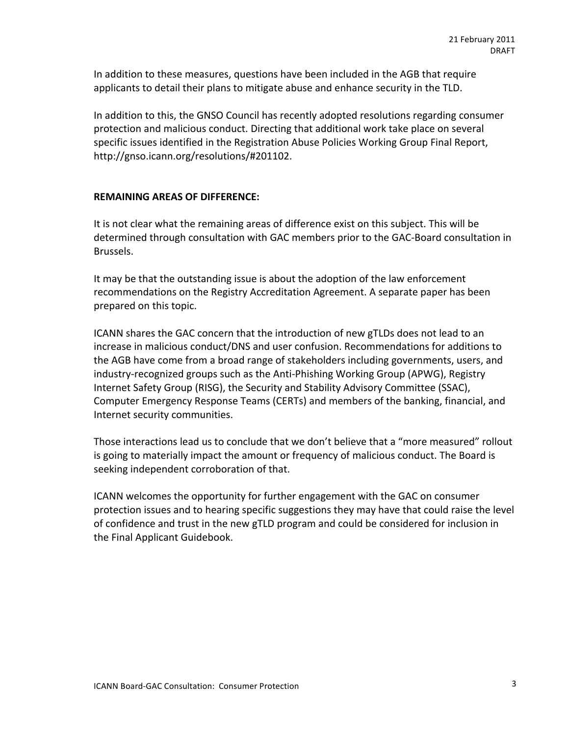In addition to these measures, questions have been included in the AGB that require applicants to detail their plans to mitigate abuse and enhance security in the TLD.

In addition to this, the GNSO Council has recently adopted resolutions regarding consumer protection and malicious conduct. Directing that additional work take place on several specific issues identified in the Registration Abuse Policies Working Group Final Report, http://gnso.icann.org/resolutions/#201102.

#### **REMAINING AREAS OF DIFFERENCE:**

It is not clear what the remaining areas of difference exist on this subject. This will be determined through consultation with GAC members prior to the GAC-Board consultation in Brussels.

It may be that the outstanding issue is about the adoption of the law enforcement recommendations on the Registry Accreditation Agreement. A separate paper has been prepared on this topic.

ICANN shares the GAC concern that the introduction of new gTLDs does not lead to an increase in malicious conduct/DNS and user confusion. Recommendations for additions to the AGB have come from a broad range of stakeholders including governments, users, and industry-recognized groups such as the Anti-Phishing Working Group (APWG), Registry Internet Safety Group (RISG), the Security and Stability Advisory Committee (SSAC), Computer Emergency Response Teams (CERTs) and members of the banking, financial, and Internet security communities.

Those interactions lead us to conclude that we don't believe that a "more measured" rollout is going to materially impact the amount or frequency of malicious conduct. The Board is seeking independent corroboration of that.

ICANN welcomes the opportunity for further engagement with the GAC on consumer protection issues and to hearing specific suggestions they may have that could raise the level of confidence and trust in the new gTLD program and could be considered for inclusion in the Final Applicant Guidebook.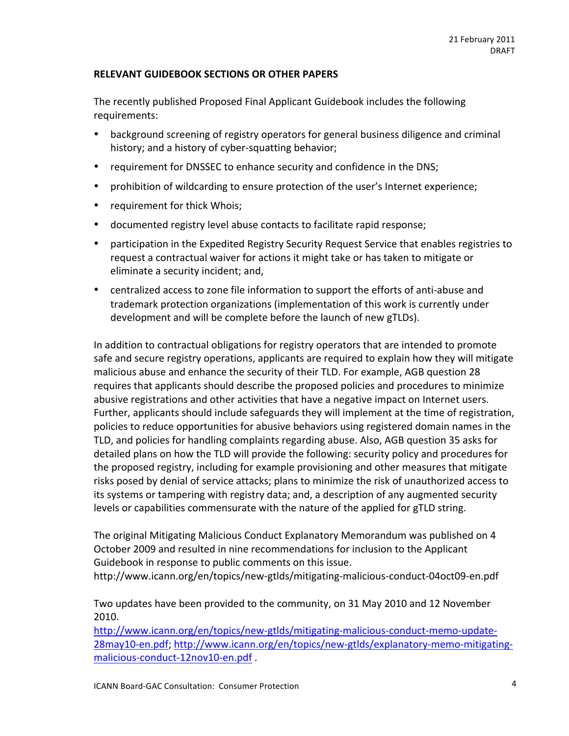### RELEVANT GUIDEBOOK SECTIONS OR OTHER PAPERS

The recently published Proposed Final Applicant Guidebook includes the following requirements:#

- background screening of registry operators for general business diligence and criminal history; and a history of cyber-squatting behavior;
- requirement for DNSSEC to enhance security and confidence in the DNS;
- prohibition of wildcarding to ensure protection of the user's Internet experience;
- requirement for thick Whois;
- documented registry level abuse contacts to facilitate rapid response;
- participation in the Expedited Registry Security Request Service that enables registries to request a contractual waiver for actions it might take or has taken to mitigate or eliminate a security incident; and,
- centralized access to zone file information to support the efforts of anti-abuse and trademark protection organizations (implementation of this work is currently under development and will be complete before the launch of new gTLDs).

In addition to contractual obligations for registry operators that are intended to promote safe and secure registry operations, applicants are required to explain how they will mitigate malicious abuse and enhance the security of their TLD. For example, AGB question 28 requires that applicants should describe the proposed policies and procedures to minimize abusive registrations and other activities that have a negative impact on Internet users. Further, applicants should include safeguards they will implement at the time of registration, policies to reduce opportunities for abusive behaviors using registered domain names in the TLD, and policies for handling complaints regarding abuse. Also, AGB question 35 asks for detailed plans on how the TLD will provide the following: security policy and procedures for the proposed registry, including for example provisioning and other measures that mitigate risks posed by denial of service attacks; plans to minimize the risk of unauthorized access to its systems or tampering with registry data; and, a description of any augmented security levels or capabilities commensurate with the nature of the applied for gTLD string.

The original Mitigating Malicious Conduct Explanatory Memorandum was published on 4 October 2009 and resulted in nine recommendations for inclusion to the Applicant Guidebook in response to public comments on this issue.

http://www.icann.org/en/topics/new-gtlds/mitigating-malicious-conduct-04oct09-en.pdf

Two updates have been provided to the community, on 31 May 2010 and 12 November 2010.#

http://www.icann.org/en/topics/new-gtlds/mitigating-malicious-conduct-memo-update-28may10-en.pdf; http://www.icann.org/en/topics/new-gtlds/explanatory-memo-mitigatingmalicious-conduct-12nov10-en.pdf.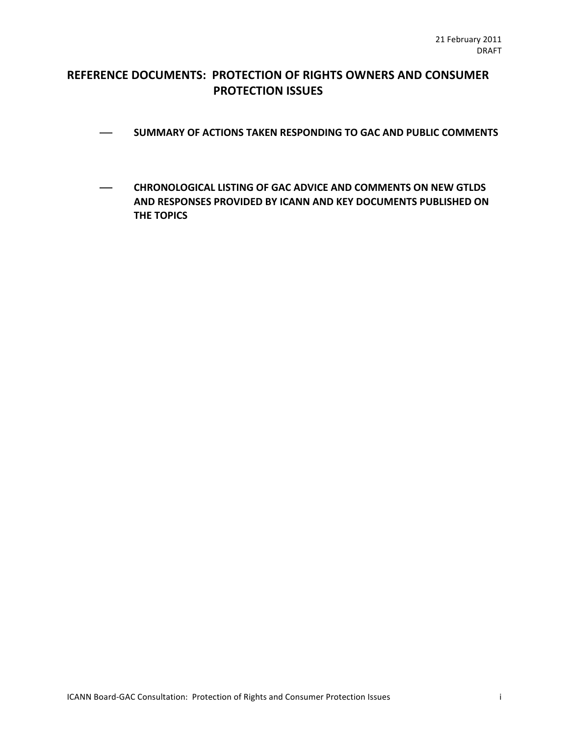# REFERENCE DOCUMENTS: PROTECTION OF RIGHTS OWNERS AND CONSUMER **PROTECTION ISSUES**

- $-$  SUMMARY OF ACTIONS TAKEN RESPONDING TO GAC AND PUBLIC COMMENTS
- **CHRONOLOGICAL LISTING OF GAC ADVICE AND COMMENTS ON NEW GTLDS AND RESPONSES PROVIDED BY ICANN AND KEY DOCUMENTS PUBLISHED ON THE TOPICS**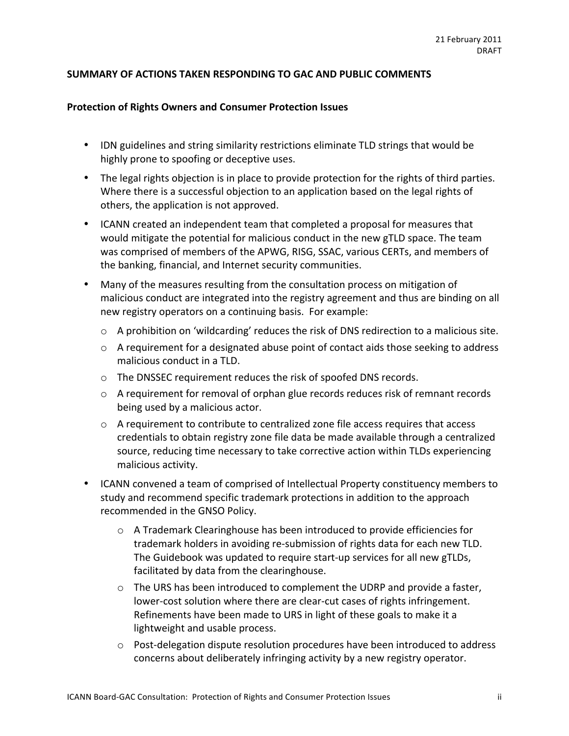### SUMMARY OF ACTIONS TAKEN RESPONDING TO GAC AND PUBLIC COMMENTS

#### **Protection of Rights Owners and Consumer Protection Issues**

- IDN guidelines and string similarity restrictions eliminate TLD strings that would be highly prone to spoofing or deceptive uses.
- The legal rights objection is in place to provide protection for the rights of third parties. Where there is a successful objection to an application based on the legal rights of others, the application is not approved.
- ICANN created an independent team that completed a proposal for measures that would mitigate the potential for malicious conduct in the new gTLD space. The team was comprised of members of the APWG, RISG, SSAC, various CERTs, and members of the banking, financial, and Internet security communities.
- Many of the measures resulting from the consultation process on mitigation of malicious conduct are integrated into the registry agreement and thus are binding on all new registry operators on a continuing basis. For example:
	- $\circ$  A prohibition on 'wildcarding' reduces the risk of DNS redirection to a malicious site.
	- $\circ$  A requirement for a designated abuse point of contact aids those seeking to address malicious conduct in a TLD.
	- $\circ$  The DNSSEC requirement reduces the risk of spoofed DNS records.
	- $\circ$  A requirement for removal of orphan glue records reduces risk of remnant records being used by a malicious actor.
	- $\circ$  A requirement to contribute to centralized zone file access requires that access credentials to obtain registry zone file data be made available through a centralized source, reducing time necessary to take corrective action within TLDs experiencing malicious activity.
- ICANN convened a team of comprised of Intellectual Property constituency members to study and recommend specific trademark protections in addition to the approach recommended in the GNSO Policy.
	- $\circ$  A Trademark Clearinghouse has been introduced to provide efficiencies for trademark holders in avoiding re-submission of rights data for each new TLD. The Guidebook was updated to require start-up services for all new gTLDs, facilitated by data from the clearinghouse.
	- $\circ$  The URS has been introduced to complement the UDRP and provide a faster, lower-cost solution where there are clear-cut cases of rights infringement. Refinements have been made to URS in light of these goals to make it a lightweight and usable process.
	- $\circ$  Post-delegation dispute resolution procedures have been introduced to address concerns about deliberately infringing activity by a new registry operator.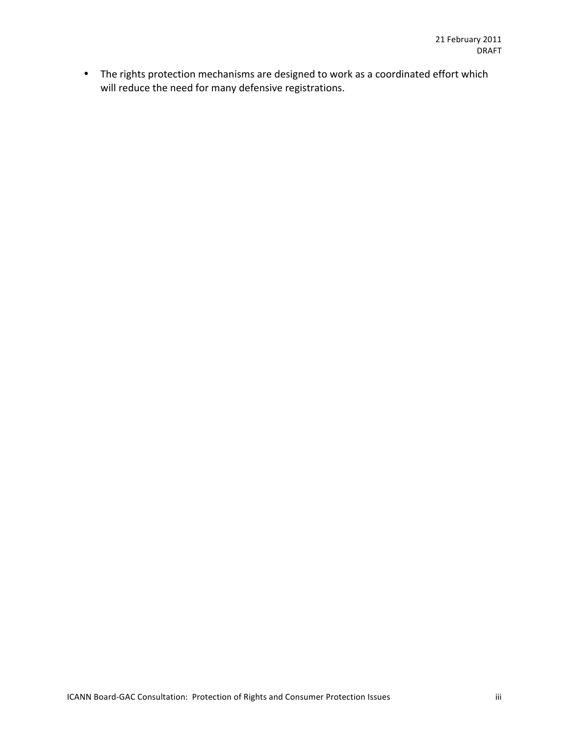• The rights protection mechanisms are designed to work as a coordinated effort which will reduce the need for many defensive registrations.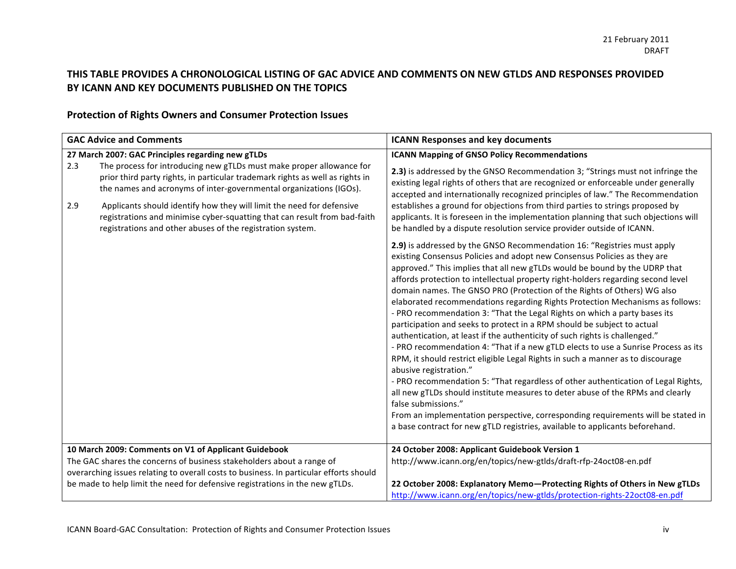# THIS TABLE PROVIDES A CHRONOLOGICAL LISTING OF GAC ADVICE AND COMMENTS ON NEW GTLDS AND RESPONSES PROVIDED BY ICANN AND KEY DOCUMENTS PUBLISHED ON THE TOPICS

# **Protection of Rights Owners and Consumer Protection Issues**

| <b>GAC Advice and Comments</b>                       |                                                                                                                                                                                                                                                                                                                                                                                                                                                                                                      | <b>ICANN Responses and key documents</b>                                                                                                                                                                                                                                                                                                                                                                                                                                                                                                                                                                                                                                                                                                                             |
|------------------------------------------------------|------------------------------------------------------------------------------------------------------------------------------------------------------------------------------------------------------------------------------------------------------------------------------------------------------------------------------------------------------------------------------------------------------------------------------------------------------------------------------------------------------|----------------------------------------------------------------------------------------------------------------------------------------------------------------------------------------------------------------------------------------------------------------------------------------------------------------------------------------------------------------------------------------------------------------------------------------------------------------------------------------------------------------------------------------------------------------------------------------------------------------------------------------------------------------------------------------------------------------------------------------------------------------------|
| 2.3<br>2.9                                           | 27 March 2007: GAC Principles regarding new gTLDs<br>The process for introducing new gTLDs must make proper allowance for<br>prior third party rights, in particular trademark rights as well as rights in<br>the names and acronyms of inter-governmental organizations (IGOs).<br>Applicants should identify how they will limit the need for defensive<br>registrations and minimise cyber-squatting that can result from bad-faith<br>registrations and other abuses of the registration system. | <b>ICANN Mapping of GNSO Policy Recommendations</b><br>2.3) is addressed by the GNSO Recommendation 3; "Strings must not infringe the<br>existing legal rights of others that are recognized or enforceable under generally<br>accepted and internationally recognized principles of law." The Recommendation<br>establishes a ground for objections from third parties to strings proposed by<br>applicants. It is foreseen in the implementation planning that such objections will<br>be handled by a dispute resolution service provider outside of ICANN.<br>2.9) is addressed by the GNSO Recommendation 16: "Registries must apply<br>existing Consensus Policies and adopt new Consensus Policies as they are                                                |
|                                                      |                                                                                                                                                                                                                                                                                                                                                                                                                                                                                                      | approved." This implies that all new gTLDs would be bound by the UDRP that<br>affords protection to intellectual property right-holders regarding second level<br>domain names. The GNSO PRO (Protection of the Rights of Others) WG also<br>elaborated recommendations regarding Rights Protection Mechanisms as follows:<br>- PRO recommendation 3: "That the Legal Rights on which a party bases its<br>participation and seeks to protect in a RPM should be subject to actual<br>authentication, at least if the authenticity of such rights is challenged."<br>- PRO recommendation 4: "That if a new gTLD elects to use a Sunrise Process as its<br>RPM, it should restrict eligible Legal Rights in such a manner as to discourage<br>abusive registration." |
|                                                      |                                                                                                                                                                                                                                                                                                                                                                                                                                                                                                      | - PRO recommendation 5: "That regardless of other authentication of Legal Rights,<br>all new gTLDs should institute measures to deter abuse of the RPMs and clearly<br>false submissions."<br>From an implementation perspective, corresponding requirements will be stated in<br>a base contract for new gTLD registries, available to applicants beforehand.                                                                                                                                                                                                                                                                                                                                                                                                       |
| 10 March 2009: Comments on V1 of Applicant Guidebook |                                                                                                                                                                                                                                                                                                                                                                                                                                                                                                      | 24 October 2008: Applicant Guidebook Version 1                                                                                                                                                                                                                                                                                                                                                                                                                                                                                                                                                                                                                                                                                                                       |
|                                                      | The GAC shares the concerns of business stakeholders about a range of<br>overarching issues relating to overall costs to business. In particular efforts should                                                                                                                                                                                                                                                                                                                                      | http://www.icann.org/en/topics/new-gtlds/draft-rfp-24oct08-en.pdf                                                                                                                                                                                                                                                                                                                                                                                                                                                                                                                                                                                                                                                                                                    |
|                                                      | be made to help limit the need for defensive registrations in the new gTLDs.                                                                                                                                                                                                                                                                                                                                                                                                                         | 22 October 2008: Explanatory Memo-Protecting Rights of Others in New gTLDs<br>http://www.icann.org/en/topics/new-gtlds/protection-rights-22oct08-en.pdf                                                                                                                                                                                                                                                                                                                                                                                                                                                                                                                                                                                                              |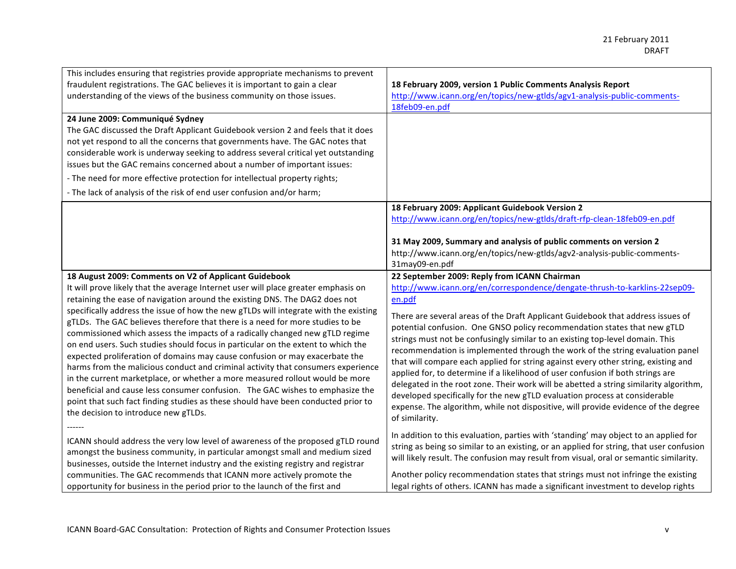| This includes ensuring that registries provide appropriate mechanisms to prevent                                                                                                                                                                                                                                                                                                                                                                                                                                             | 18 February 2009, version 1 Public Comments Analysis Report                                                                                                                                                                                                                                  |
|------------------------------------------------------------------------------------------------------------------------------------------------------------------------------------------------------------------------------------------------------------------------------------------------------------------------------------------------------------------------------------------------------------------------------------------------------------------------------------------------------------------------------|----------------------------------------------------------------------------------------------------------------------------------------------------------------------------------------------------------------------------------------------------------------------------------------------|
| fraudulent registrations. The GAC believes it is important to gain a clear                                                                                                                                                                                                                                                                                                                                                                                                                                                   | http://www.icann.org/en/topics/new-gtlds/agv1-analysis-public-comments-                                                                                                                                                                                                                      |
| understanding of the views of the business community on those issues.                                                                                                                                                                                                                                                                                                                                                                                                                                                        | 18feb09-en.pdf                                                                                                                                                                                                                                                                               |
| 24 June 2009: Communiqué Sydney<br>The GAC discussed the Draft Applicant Guidebook version 2 and feels that it does<br>not yet respond to all the concerns that governments have. The GAC notes that<br>considerable work is underway seeking to address several critical yet outstanding<br>issues but the GAC remains concerned about a number of important issues:<br>- The need for more effective protection for intellectual property rights;<br>- The lack of analysis of the risk of end user confusion and/or harm; |                                                                                                                                                                                                                                                                                              |
|                                                                                                                                                                                                                                                                                                                                                                                                                                                                                                                              | 18 February 2009: Applicant Guidebook Version 2<br>http://www.icann.org/en/topics/new-gtlds/draft-rfp-clean-18feb09-en.pdf<br>31 May 2009, Summary and analysis of public comments on version 2<br>http://www.icann.org/en/topics/new-gtlds/agv2-analysis-public-comments-<br>31may09-en.pdf |
| 18 August 2009: Comments on V2 of Applicant Guidebook                                                                                                                                                                                                                                                                                                                                                                                                                                                                        | 22 September 2009: Reply from ICANN Chairman                                                                                                                                                                                                                                                 |
| It will prove likely that the average Internet user will place greater emphasis on                                                                                                                                                                                                                                                                                                                                                                                                                                           | http://www.icann.org/en/correspondence/dengate-thrush-to-karklins-22sep09-                                                                                                                                                                                                                   |
| retaining the ease of navigation around the existing DNS. The DAG2 does not                                                                                                                                                                                                                                                                                                                                                                                                                                                  | en.pdf                                                                                                                                                                                                                                                                                       |
| specifically address the issue of how the new gTLDs will integrate with the existing                                                                                                                                                                                                                                                                                                                                                                                                                                         | There are several areas of the Draft Applicant Guidebook that address issues of                                                                                                                                                                                                              |
| gTLDs. The GAC believes therefore that there is a need for more studies to be                                                                                                                                                                                                                                                                                                                                                                                                                                                | potential confusion. One GNSO policy recommendation states that new gTLD                                                                                                                                                                                                                     |
| commissioned which assess the impacts of a radically changed new gTLD regime                                                                                                                                                                                                                                                                                                                                                                                                                                                 | strings must not be confusingly similar to an existing top-level domain. This                                                                                                                                                                                                                |
| on end users. Such studies should focus in particular on the extent to which the                                                                                                                                                                                                                                                                                                                                                                                                                                             | recommendation is implemented through the work of the string evaluation panel                                                                                                                                                                                                                |
| expected proliferation of domains may cause confusion or may exacerbate the                                                                                                                                                                                                                                                                                                                                                                                                                                                  | that will compare each applied for string against every other string, existing and                                                                                                                                                                                                           |
| harms from the malicious conduct and criminal activity that consumers experience                                                                                                                                                                                                                                                                                                                                                                                                                                             | applied for, to determine if a likelihood of user confusion if both strings are                                                                                                                                                                                                              |
| in the current marketplace, or whether a more measured rollout would be more                                                                                                                                                                                                                                                                                                                                                                                                                                                 | delegated in the root zone. Their work will be abetted a string similarity algorithm,                                                                                                                                                                                                        |
| beneficial and cause less consumer confusion. The GAC wishes to emphasize the                                                                                                                                                                                                                                                                                                                                                                                                                                                | developed specifically for the new gTLD evaluation process at considerable                                                                                                                                                                                                                   |
| point that such fact finding studies as these should have been conducted prior to                                                                                                                                                                                                                                                                                                                                                                                                                                            | expense. The algorithm, while not dispositive, will provide evidence of the degree                                                                                                                                                                                                           |
| the decision to introduce new gTLDs.                                                                                                                                                                                                                                                                                                                                                                                                                                                                                         | of similarity.                                                                                                                                                                                                                                                                               |
| ICANN should address the very low level of awareness of the proposed gTLD round                                                                                                                                                                                                                                                                                                                                                                                                                                              | In addition to this evaluation, parties with 'standing' may object to an applied for                                                                                                                                                                                                         |
| amongst the business community, in particular amongst small and medium sized                                                                                                                                                                                                                                                                                                                                                                                                                                                 | string as being so similar to an existing, or an applied for string, that user confusion                                                                                                                                                                                                     |
| businesses, outside the Internet industry and the existing registry and registrar                                                                                                                                                                                                                                                                                                                                                                                                                                            | will likely result. The confusion may result from visual, oral or semantic similarity.                                                                                                                                                                                                       |
| communities. The GAC recommends that ICANN more actively promote the                                                                                                                                                                                                                                                                                                                                                                                                                                                         | Another policy recommendation states that strings must not infringe the existing                                                                                                                                                                                                             |
| opportunity for business in the period prior to the launch of the first and                                                                                                                                                                                                                                                                                                                                                                                                                                                  | legal rights of others. ICANN has made a significant investment to develop rights                                                                                                                                                                                                            |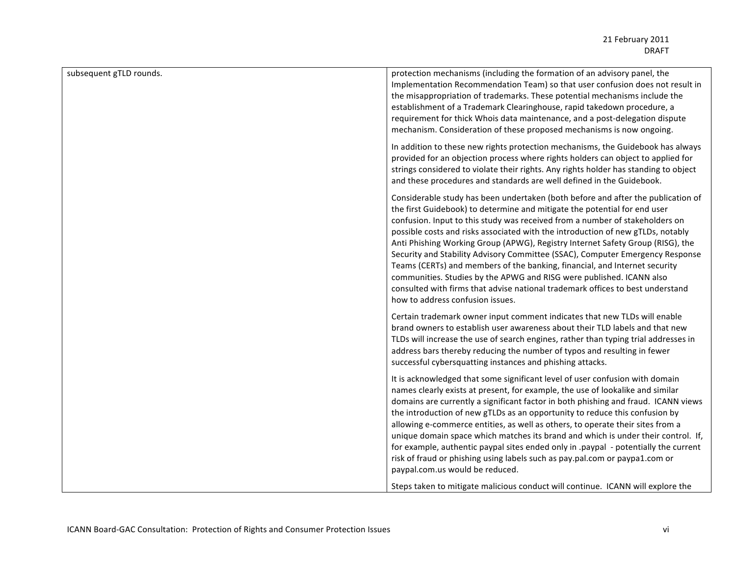| subsequent gTLD rounds. | protection mechanisms (including the formation of an advisory panel, the<br>Implementation Recommendation Team) so that user confusion does not result in<br>the misappropriation of trademarks. These potential mechanisms include the<br>establishment of a Trademark Clearinghouse, rapid takedown procedure, a<br>requirement for thick Whois data maintenance, and a post-delegation dispute<br>mechanism. Consideration of these proposed mechanisms is now ongoing.                                                                                                                                                                                                                                                                                                      |
|-------------------------|---------------------------------------------------------------------------------------------------------------------------------------------------------------------------------------------------------------------------------------------------------------------------------------------------------------------------------------------------------------------------------------------------------------------------------------------------------------------------------------------------------------------------------------------------------------------------------------------------------------------------------------------------------------------------------------------------------------------------------------------------------------------------------|
|                         | In addition to these new rights protection mechanisms, the Guidebook has always<br>provided for an objection process where rights holders can object to applied for<br>strings considered to violate their rights. Any rights holder has standing to object<br>and these procedures and standards are well defined in the Guidebook.                                                                                                                                                                                                                                                                                                                                                                                                                                            |
|                         | Considerable study has been undertaken (both before and after the publication of<br>the first Guidebook) to determine and mitigate the potential for end user<br>confusion. Input to this study was received from a number of stakeholders on<br>possible costs and risks associated with the introduction of new gTLDs, notably<br>Anti Phishing Working Group (APWG), Registry Internet Safety Group (RISG), the<br>Security and Stability Advisory Committee (SSAC), Computer Emergency Response<br>Teams (CERTs) and members of the banking, financial, and Internet security<br>communities. Studies by the APWG and RISG were published. ICANN also<br>consulted with firms that advise national trademark offices to best understand<br>how to address confusion issues. |
|                         | Certain trademark owner input comment indicates that new TLDs will enable<br>brand owners to establish user awareness about their TLD labels and that new<br>TLDs will increase the use of search engines, rather than typing trial addresses in<br>address bars thereby reducing the number of typos and resulting in fewer<br>successful cybersquatting instances and phishing attacks.                                                                                                                                                                                                                                                                                                                                                                                       |
|                         | It is acknowledged that some significant level of user confusion with domain<br>names clearly exists at present, for example, the use of lookalike and similar<br>domains are currently a significant factor in both phishing and fraud. ICANN views<br>the introduction of new gTLDs as an opportunity to reduce this confusion by<br>allowing e-commerce entities, as well as others, to operate their sites from a<br>unique domain space which matches its brand and which is under their control. If,<br>for example, authentic paypal sites ended only in .paypal - potentially the current<br>risk of fraud or phishing using labels such as pay.pal.com or paypa1.com or<br>paypal.com.us would be reduced.                                                             |
|                         | Steps taken to mitigate malicious conduct will continue. ICANN will explore the                                                                                                                                                                                                                                                                                                                                                                                                                                                                                                                                                                                                                                                                                                 |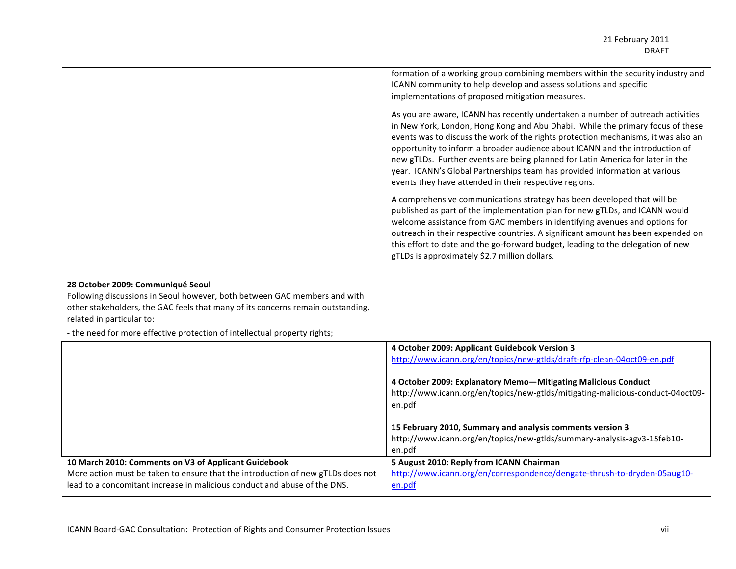|                                                                                                                                                                                                                                                                                                             | formation of a working group combining members within the security industry and<br>ICANN community to help develop and assess solutions and specific<br>implementations of proposed mitigation measures.                                                                                                                                                                                                                                                                                                                                                          |
|-------------------------------------------------------------------------------------------------------------------------------------------------------------------------------------------------------------------------------------------------------------------------------------------------------------|-------------------------------------------------------------------------------------------------------------------------------------------------------------------------------------------------------------------------------------------------------------------------------------------------------------------------------------------------------------------------------------------------------------------------------------------------------------------------------------------------------------------------------------------------------------------|
|                                                                                                                                                                                                                                                                                                             | As you are aware, ICANN has recently undertaken a number of outreach activities<br>in New York, London, Hong Kong and Abu Dhabi. While the primary focus of these<br>events was to discuss the work of the rights protection mechanisms, it was also an<br>opportunity to inform a broader audience about ICANN and the introduction of<br>new gTLDs. Further events are being planned for Latin America for later in the<br>year. ICANN's Global Partnerships team has provided information at various<br>events they have attended in their respective regions. |
|                                                                                                                                                                                                                                                                                                             | A comprehensive communications strategy has been developed that will be<br>published as part of the implementation plan for new gTLDs, and ICANN would<br>welcome assistance from GAC members in identifying avenues and options for<br>outreach in their respective countries. A significant amount has been expended on<br>this effort to date and the go-forward budget, leading to the delegation of new<br>gTLDs is approximately \$2.7 million dollars.                                                                                                     |
| 28 October 2009: Communiqué Seoul<br>Following discussions in Seoul however, both between GAC members and with<br>other stakeholders, the GAC feels that many of its concerns remain outstanding,<br>related in particular to:<br>- the need for more effective protection of intellectual property rights; |                                                                                                                                                                                                                                                                                                                                                                                                                                                                                                                                                                   |
|                                                                                                                                                                                                                                                                                                             | 4 October 2009: Applicant Guidebook Version 3<br>http://www.icann.org/en/topics/new-gtlds/draft-rfp-clean-04oct09-en.pdf                                                                                                                                                                                                                                                                                                                                                                                                                                          |
|                                                                                                                                                                                                                                                                                                             | 4 October 2009: Explanatory Memo-Mitigating Malicious Conduct<br>http://www.icann.org/en/topics/new-gtlds/mitigating-malicious-conduct-04oct09-<br>en.pdf<br>15 February 2010, Summary and analysis comments version 3<br>http://www.icann.org/en/topics/new-gtlds/summary-analysis-agv3-15feb10-<br>en.pdf                                                                                                                                                                                                                                                       |
| 10 March 2010: Comments on V3 of Applicant Guidebook<br>More action must be taken to ensure that the introduction of new gTLDs does not<br>lead to a concomitant increase in malicious conduct and abuse of the DNS.                                                                                        | 5 August 2010: Reply from ICANN Chairman<br>http://www.icann.org/en/correspondence/dengate-thrush-to-dryden-05aug10-<br>en.pdf                                                                                                                                                                                                                                                                                                                                                                                                                                    |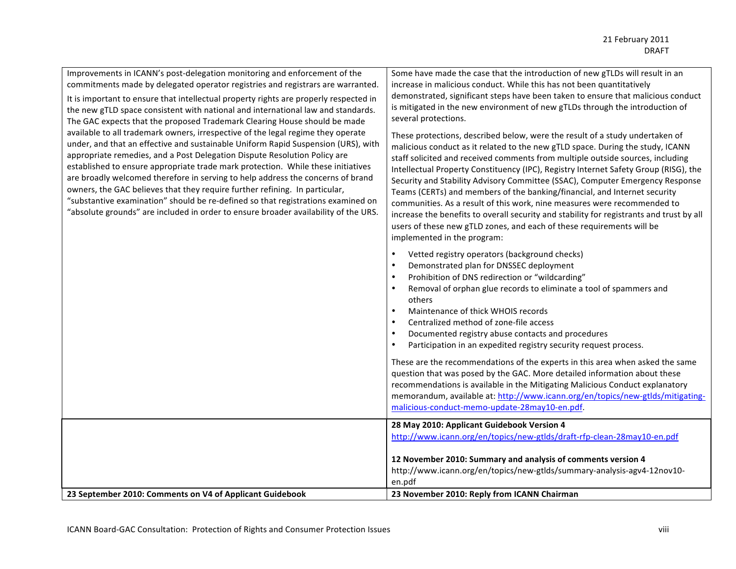| Improvements in ICANN's post-delegation monitoring and enforcement of the<br>commitments made by delegated operator registries and registrars are warranted.<br>It is important to ensure that intellectual property rights are properly respected in<br>the new gTLD space consistent with national and international law and standards.<br>The GAC expects that the proposed Trademark Clearing House should be made<br>available to all trademark owners, irrespective of the legal regime they operate<br>under, and that an effective and sustainable Uniform Rapid Suspension (URS), with<br>appropriate remedies, and a Post Delegation Dispute Resolution Policy are<br>established to ensure appropriate trade mark protection. While these initiatives<br>are broadly welcomed therefore in serving to help address the concerns of brand<br>owners, the GAC believes that they require further refining. In particular,<br>"substantive examination" should be re-defined so that registrations examined on<br>"absolute grounds" are included in order to ensure broader availability of the URS. | Some have made the case that the introduction of new gTLDs will result in an<br>increase in malicious conduct. While this has not been quantitatively<br>demonstrated, significant steps have been taken to ensure that malicious conduct<br>is mitigated in the new environment of new gTLDs through the introduction of<br>several protections.<br>These protections, described below, were the result of a study undertaken of<br>malicious conduct as it related to the new gTLD space. During the study, ICANN<br>staff solicited and received comments from multiple outside sources, including<br>Intellectual Property Constituency (IPC), Registry Internet Safety Group (RISG), the<br>Security and Stability Advisory Committee (SSAC), Computer Emergency Response<br>Teams (CERTs) and members of the banking/financial, and Internet security<br>communities. As a result of this work, nine measures were recommended to<br>increase the benefits to overall security and stability for registrants and trust by all<br>users of these new gTLD zones, and each of these requirements will be |
|---------------------------------------------------------------------------------------------------------------------------------------------------------------------------------------------------------------------------------------------------------------------------------------------------------------------------------------------------------------------------------------------------------------------------------------------------------------------------------------------------------------------------------------------------------------------------------------------------------------------------------------------------------------------------------------------------------------------------------------------------------------------------------------------------------------------------------------------------------------------------------------------------------------------------------------------------------------------------------------------------------------------------------------------------------------------------------------------------------------|--------------------------------------------------------------------------------------------------------------------------------------------------------------------------------------------------------------------------------------------------------------------------------------------------------------------------------------------------------------------------------------------------------------------------------------------------------------------------------------------------------------------------------------------------------------------------------------------------------------------------------------------------------------------------------------------------------------------------------------------------------------------------------------------------------------------------------------------------------------------------------------------------------------------------------------------------------------------------------------------------------------------------------------------------------------------------------------------------------------|
|                                                                                                                                                                                                                                                                                                                                                                                                                                                                                                                                                                                                                                                                                                                                                                                                                                                                                                                                                                                                                                                                                                               | implemented in the program:<br>$\bullet$<br>Vetted registry operators (background checks)<br>Demonstrated plan for DNSSEC deployment<br>$\bullet$<br>Prohibition of DNS redirection or "wildcarding"<br>$\bullet$<br>Removal of orphan glue records to eliminate a tool of spammers and<br>$\bullet$<br>others<br>Maintenance of thick WHOIS records<br>$\bullet$<br>Centralized method of zone-file access<br>$\bullet$<br>Documented registry abuse contacts and procedures<br>$\bullet$<br>Participation in an expedited registry security request process.<br>$\bullet$<br>These are the recommendations of the experts in this area when asked the same<br>question that was posed by the GAC. More detailed information about these<br>recommendations is available in the Mitigating Malicious Conduct explanatory<br>memorandum, available at: http://www.icann.org/en/topics/new-gtlds/mitigating-<br>malicious-conduct-memo-update-28may10-en.pdf.                                                                                                                                                 |
|                                                                                                                                                                                                                                                                                                                                                                                                                                                                                                                                                                                                                                                                                                                                                                                                                                                                                                                                                                                                                                                                                                               | 28 May 2010: Applicant Guidebook Version 4<br>http://www.icann.org/en/topics/new-gtlds/draft-rfp-clean-28may10-en.pdf                                                                                                                                                                                                                                                                                                                                                                                                                                                                                                                                                                                                                                                                                                                                                                                                                                                                                                                                                                                        |
|                                                                                                                                                                                                                                                                                                                                                                                                                                                                                                                                                                                                                                                                                                                                                                                                                                                                                                                                                                                                                                                                                                               | 12 November 2010: Summary and analysis of comments version 4<br>http://www.icann.org/en/topics/new-gtlds/summary-analysis-agv4-12nov10-<br>en.pdf                                                                                                                                                                                                                                                                                                                                                                                                                                                                                                                                                                                                                                                                                                                                                                                                                                                                                                                                                            |
| 23 September 2010: Comments on V4 of Applicant Guidebook                                                                                                                                                                                                                                                                                                                                                                                                                                                                                                                                                                                                                                                                                                                                                                                                                                                                                                                                                                                                                                                      | 23 November 2010: Reply from ICANN Chairman                                                                                                                                                                                                                                                                                                                                                                                                                                                                                                                                                                                                                                                                                                                                                                                                                                                                                                                                                                                                                                                                  |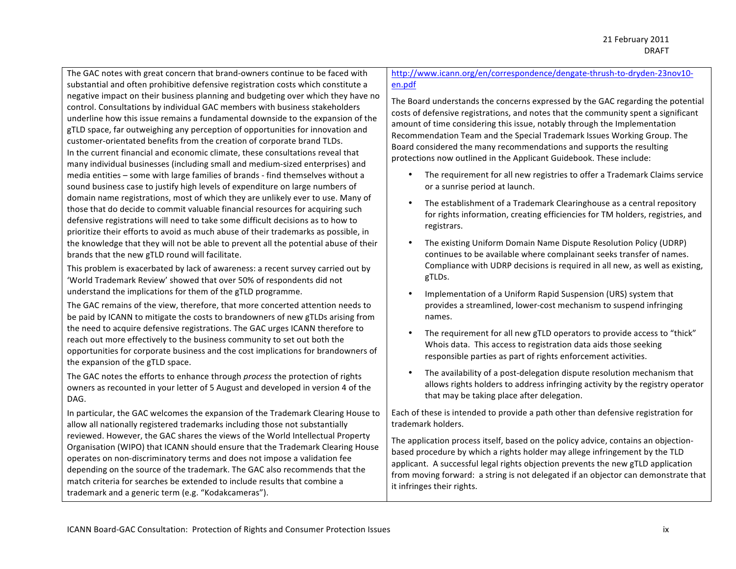The GAC notes with great concern that brand-owners continue to be faced with substantial and often prohibitive defensive registration costs which constitute a negative impact on their business planning and budgeting over which they have no control. Consultations by individual GAC members with business stakeholders underline how this issue remains a fundamental downside to the expansion of the gTLD space, far outweighing any perception of opportunities for innovation and customer-orientated benefits from the creation of corporate brand TLDs. In the current financial and economic climate, these consultations reveal that many individual businesses (including small and medium-sized enterprises) and media entities – some with large families of brands - find themselves without a sound business case to justify high levels of expenditure on large numbers of domain name registrations, most of which they are unlikely ever to use. Many of those that do decide to commit valuable financial resources for acquiring such defensive registrations will need to take some difficult decisions as to how to prioritize their efforts to avoid as much abuse of their trademarks as possible, in the knowledge that they will not be able to prevent all the potential abuse of their brands that the new gTLD round will facilitate.

This problem is exacerbated by lack of awareness: a recent survey carried out by 'World Trademark Review' showed that over 50% of respondents did not understand the implications for them of the gTLD programme.

The GAC remains of the view, therefore, that more concerted attention needs to be paid by ICANN to mitigate the costs to brandowners of new gTLDs arising from the need to acquire defensive registrations. The GAC urges ICANN therefore to reach out more effectively to the business community to set out both the opportunities for corporate business and the cost implications for brandowners of the expansion of the gTLD space.

The GAC notes the efforts to enhance through *process* the protection of rights owners as recounted in your letter of 5 August and developed in version 4 of the DAG.

In particular, the GAC welcomes the expansion of the Trademark Clearing House to allow all nationally registered trademarks including those not substantially reviewed. However, the GAC shares the views of the World Intellectual Property Organisation (WIPO) that ICANN should ensure that the Trademark Clearing House operates on non-discriminatory terms and does not impose a validation fee depending on the source of the trademark. The GAC also recommends that the match criteria for searches be extended to include results that combine a trademark and a generic term (e.g. "Kodakcameras").

#### http://www.icann.org/en/correspondence/dengate-thrush-to-dryden-23nov10en.pdf

The Board understands the concerns expressed by the GAC regarding the potential costs of defensive registrations, and notes that the community spent a significant amount of time considering this issue, notably through the Implementation Recommendation Team and the Special Trademark Issues Working Group. The Board considered the many recommendations and supports the resulting protections now outlined in the Applicant Guidebook. These include:

- The requirement for all new registries to offer a Trademark Claims service or a sunrise period at launch.
- The establishment of a Trademark Clearinghouse as a central repository for rights information, creating efficiencies for TM holders, registries, and registrars.
- The existing Uniform Domain Name Dispute Resolution Policy (UDRP) continues to be available where complainant seeks transfer of names. Compliance with UDRP decisions is required in all new, as well as existing, gTLDs.
- Implementation of a Uniform Rapid Suspension (URS) system that provides a streamlined, lower-cost mechanism to suspend infringing names.
- The requirement for all new gTLD operators to provide access to "thick" Whois data. This access to registration data aids those seeking responsible parties as part of rights enforcement activities.
- The availability of a post-delegation dispute resolution mechanism that allows rights holders to address infringing activity by the registry operator that may be taking place after delegation.

Each of these is intended to provide a path other than defensive registration for trademark holders.

The application process itself, based on the policy advice, contains an objectionbased procedure by which a rights holder may allege infringement by the TLD applicant. A successful legal rights objection prevents the new gTLD application from moving forward: a string is not delegated if an objector can demonstrate that it infringes their rights.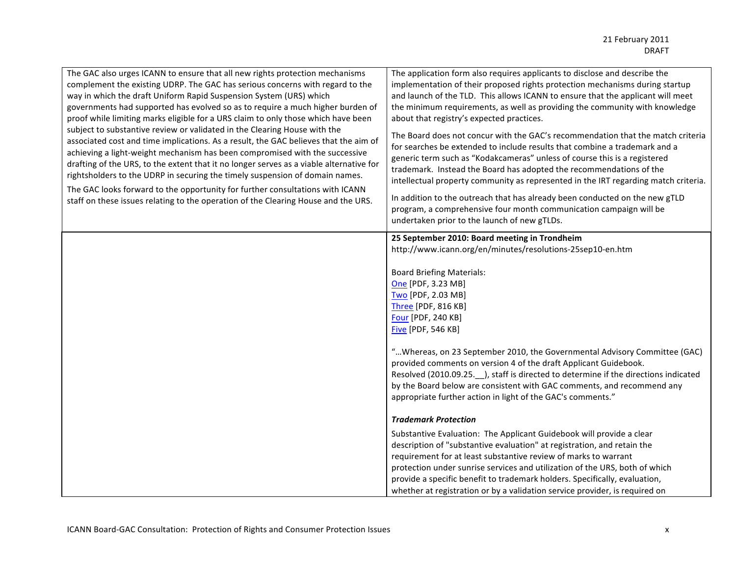| The GAC also urges ICANN to ensure that all new rights protection mechanisms<br>complement the existing UDRP. The GAC has serious concerns with regard to the<br>way in which the draft Uniform Rapid Suspension System (URS) which<br>governments had supported has evolved so as to require a much higher burden of<br>proof while limiting marks eligible for a URS claim to only those which have been<br>subject to substantive review or validated in the Clearing House with the<br>associated cost and time implications. As a result, the GAC believes that the aim of<br>achieving a light-weight mechanism has been compromised with the successive<br>drafting of the URS, to the extent that it no longer serves as a viable alternative for<br>rightsholders to the UDRP in securing the timely suspension of domain names.<br>The GAC looks forward to the opportunity for further consultations with ICANN<br>staff on these issues relating to the operation of the Clearing House and the URS. | The application form also requires applicants to disclose and describe the<br>implementation of their proposed rights protection mechanisms during startup<br>and launch of the TLD. This allows ICANN to ensure that the applicant will meet<br>the minimum requirements, as well as providing the community with knowledge<br>about that registry's expected practices.<br>The Board does not concur with the GAC's recommendation that the match criteria<br>for searches be extended to include results that combine a trademark and a<br>generic term such as "Kodakcameras" unless of course this is a registered<br>trademark. Instead the Board has adopted the recommendations of the<br>intellectual property community as represented in the IRT regarding match criteria.<br>In addition to the outreach that has already been conducted on the new gTLD<br>program, a comprehensive four month communication campaign will be<br>undertaken prior to the launch of new gTLDs.                                                                                                                                                                  |
|------------------------------------------------------------------------------------------------------------------------------------------------------------------------------------------------------------------------------------------------------------------------------------------------------------------------------------------------------------------------------------------------------------------------------------------------------------------------------------------------------------------------------------------------------------------------------------------------------------------------------------------------------------------------------------------------------------------------------------------------------------------------------------------------------------------------------------------------------------------------------------------------------------------------------------------------------------------------------------------------------------------|-------------------------------------------------------------------------------------------------------------------------------------------------------------------------------------------------------------------------------------------------------------------------------------------------------------------------------------------------------------------------------------------------------------------------------------------------------------------------------------------------------------------------------------------------------------------------------------------------------------------------------------------------------------------------------------------------------------------------------------------------------------------------------------------------------------------------------------------------------------------------------------------------------------------------------------------------------------------------------------------------------------------------------------------------------------------------------------------------------------------------------------------------------------|
|                                                                                                                                                                                                                                                                                                                                                                                                                                                                                                                                                                                                                                                                                                                                                                                                                                                                                                                                                                                                                  | 25 September 2010: Board meeting in Trondheim<br>http://www.icann.org/en/minutes/resolutions-25sep10-en.htm<br><b>Board Briefing Materials:</b><br>One [PDF, 3.23 MB]<br>Two [PDF, 2.03 MB]<br>Three [PDF, 816 KB]<br>Four [PDF, 240 KB]<br><b>Five [PDF, 546 KB]</b><br>" Whereas, on 23 September 2010, the Governmental Advisory Committee (GAC)<br>provided comments on version 4 of the draft Applicant Guidebook.<br>Resolved (2010.09.25. __ ), staff is directed to determine if the directions indicated<br>by the Board below are consistent with GAC comments, and recommend any<br>appropriate further action in light of the GAC's comments."<br><b>Trademark Protection</b><br>Substantive Evaluation: The Applicant Guidebook will provide a clear<br>description of "substantive evaluation" at registration, and retain the<br>requirement for at least substantive review of marks to warrant<br>protection under sunrise services and utilization of the URS, both of which<br>provide a specific benefit to trademark holders. Specifically, evaluation,<br>whether at registration or by a validation service provider, is required on |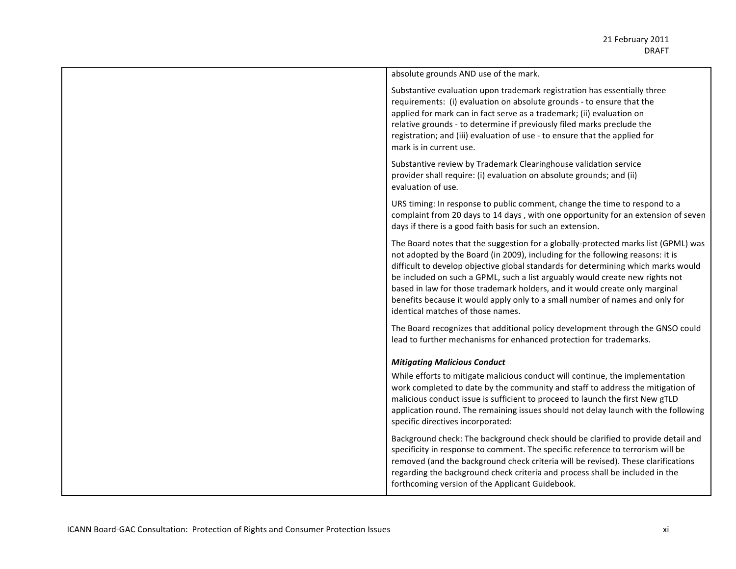| absolute grounds AND use of the mark.                                                                                                                                                                                                                                                                                                                                                                                                                                                                                                         |
|-----------------------------------------------------------------------------------------------------------------------------------------------------------------------------------------------------------------------------------------------------------------------------------------------------------------------------------------------------------------------------------------------------------------------------------------------------------------------------------------------------------------------------------------------|
| Substantive evaluation upon trademark registration has essentially three<br>requirements: (i) evaluation on absolute grounds - to ensure that the<br>applied for mark can in fact serve as a trademark; (ii) evaluation on<br>relative grounds - to determine if previously filed marks preclude the<br>registration; and (iii) evaluation of use - to ensure that the applied for<br>mark is in current use.                                                                                                                                 |
| Substantive review by Trademark Clearinghouse validation service<br>provider shall require: (i) evaluation on absolute grounds; and (ii)<br>evaluation of use.                                                                                                                                                                                                                                                                                                                                                                                |
| URS timing: In response to public comment, change the time to respond to a<br>complaint from 20 days to 14 days, with one opportunity for an extension of seven<br>days if there is a good faith basis for such an extension.                                                                                                                                                                                                                                                                                                                 |
| The Board notes that the suggestion for a globally-protected marks list (GPML) was<br>not adopted by the Board (in 2009), including for the following reasons: it is<br>difficult to develop objective global standards for determining which marks would<br>be included on such a GPML, such a list arguably would create new rights not<br>based in law for those trademark holders, and it would create only marginal<br>benefits because it would apply only to a small number of names and only for<br>identical matches of those names. |
| The Board recognizes that additional policy development through the GNSO could<br>lead to further mechanisms for enhanced protection for trademarks.                                                                                                                                                                                                                                                                                                                                                                                          |
| <b>Mitigating Malicious Conduct</b>                                                                                                                                                                                                                                                                                                                                                                                                                                                                                                           |
| While efforts to mitigate malicious conduct will continue, the implementation<br>work completed to date by the community and staff to address the mitigation of<br>malicious conduct issue is sufficient to proceed to launch the first New gTLD<br>application round. The remaining issues should not delay launch with the following<br>specific directives incorporated:                                                                                                                                                                   |
| Background check: The background check should be clarified to provide detail and<br>specificity in response to comment. The specific reference to terrorism will be<br>removed (and the background check criteria will be revised). These clarifications<br>regarding the background check criteria and process shall be included in the<br>forthcoming version of the Applicant Guidebook.                                                                                                                                                   |